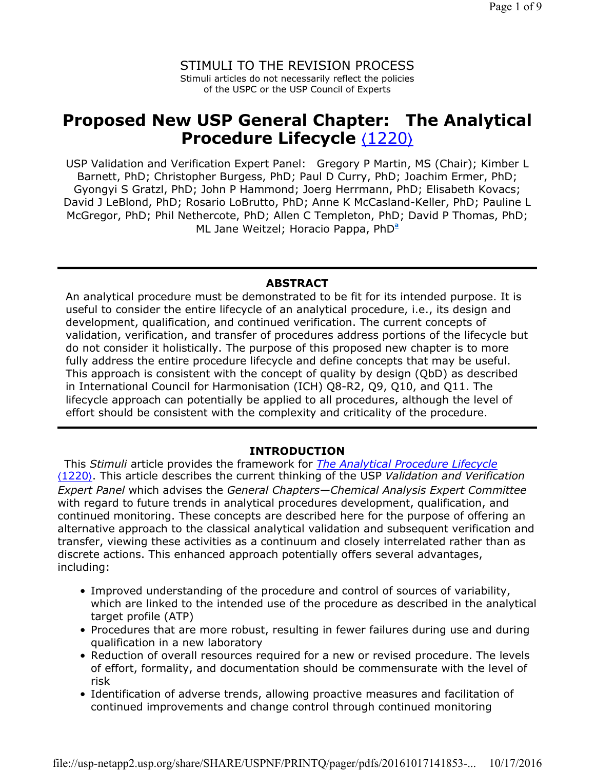STIMULI TO THE REVISION PROCESS Stimuli articles do not necessarily reflect the policies of the USPC or the USP Council of Experts

# **Proposed New USP General Chapter: The Analytical Procedure Lifecycle** ⟨1220⟩

USP Validation and Verification Expert Panel: Gregory P Martin, MS (Chair); Kimber L Barnett, PhD; Christopher Burgess, PhD; Paul D Curry, PhD; Joachim Ermer, PhD; Gyongyi S Gratzl, PhD; John P Hammond; Joerg Herrmann, PhD; Elisabeth Kovacs; David J LeBlond, PhD; Rosario LoBrutto, PhD; Anne K McCasland-Keller, PhD; Pauline L McGregor, PhD; Phil Nethercote, PhD; Allen C Templeton, PhD; David P Thomas, PhD; ML Jane Weitzel; Horacio Pappa, PhD**<sup>a</sup>**

### **ABSTRACT**

An analytical procedure must be demonstrated to be fit for its intended purpose. It is useful to consider the entire lifecycle of an analytical procedure, i.e., its design and development, qualification, and continued verification. The current concepts of validation, verification, and transfer of procedures address portions of the lifecycle but do not consider it holistically. The purpose of this proposed new chapter is to more fully address the entire procedure lifecycle and define concepts that may be useful. This approach is consistent with the concept of quality by design (QbD) as described in International Council for Harmonisation (ICH) Q8-R2, Q9, Q10, and Q11. The lifecycle approach can potentially be applied to all procedures, although the level of effort should be consistent with the complexity and criticality of the procedure.

#### **INTRODUCTION**

This *Stimuli* article provides the framework for *The Analytical Procedure Lifecycle*  ⟨1220⟩. This article describes the current thinking of the USP *Validation and Verification Expert Panel* which advises the *General Chapters—Chemical Analysis Expert Committee* with regard to future trends in analytical procedures development, qualification, and continued monitoring. These concepts are described here for the purpose of offering an alternative approach to the classical analytical validation and subsequent verification and transfer, viewing these activities as a continuum and closely interrelated rather than as discrete actions. This enhanced approach potentially offers several advantages, including:

- Improved understanding of the procedure and control of sources of variability, which are linked to the intended use of the procedure as described in the analytical target profile (ATP)
- Procedures that are more robust, resulting in fewer failures during use and during qualification in a new laboratory
- Reduction of overall resources required for a new or revised procedure. The levels of effort, formality, and documentation should be commensurate with the level of risk
- Identification of adverse trends, allowing proactive measures and facilitation of continued improvements and change control through continued monitoring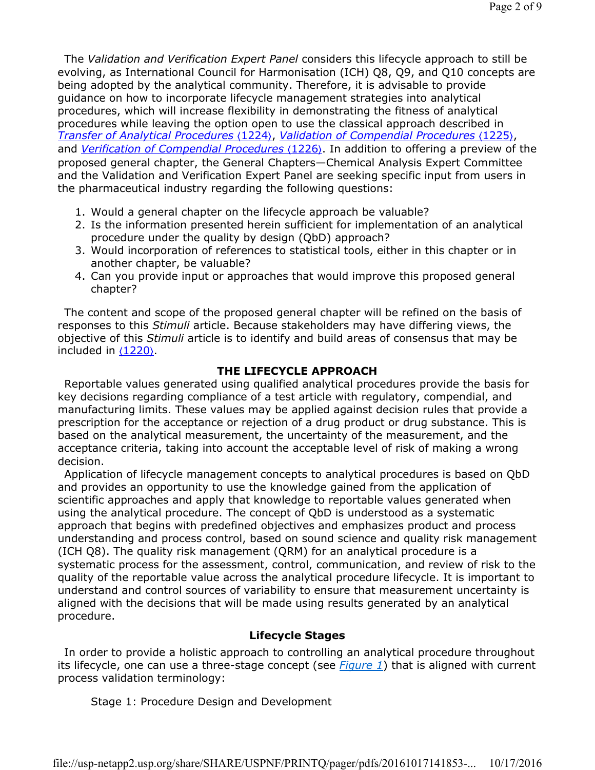The *Validation and Verification Expert Panel* considers this lifecycle approach to still be evolving, as International Council for Harmonisation (ICH) Q8, Q9, and Q10 concepts are being adopted by the analytical community. Therefore, it is advisable to provide guidance on how to incorporate lifecycle management strategies into analytical procedures, which will increase flexibility in demonstrating the fitness of analytical procedures while leaving the option open to use the classical approach described in *Transfer of Analytical Procedures* ⟨1224⟩, *Validation of Compendial Procedures* ⟨1225⟩, and *Verification of Compendial Procedures* ⟨1226⟩. In addition to offering a preview of the proposed general chapter, the General Chapters—Chemical Analysis Expert Committee and the Validation and Verification Expert Panel are seeking specific input from users in the pharmaceutical industry regarding the following questions:

- 1. Would a general chapter on the lifecycle approach be valuable?
- 2. Is the information presented herein sufficient for implementation of an analytical procedure under the quality by design (QbD) approach?
- 3. Would incorporation of references to statistical tools, either in this chapter or in another chapter, be valuable?
- 4. Can you provide input or approaches that would improve this proposed general chapter?

The content and scope of the proposed general chapter will be refined on the basis of responses to this *Stimuli* article. Because stakeholders may have differing views, the objective of this *Stimuli* article is to identify and build areas of consensus that may be included in ⟨1220⟩.

## **THE LIFECYCLE APPROACH**

Reportable values generated using qualified analytical procedures provide the basis for key decisions regarding compliance of a test article with regulatory, compendial, and manufacturing limits. These values may be applied against decision rules that provide a prescription for the acceptance or rejection of a drug product or drug substance. This is based on the analytical measurement, the uncertainty of the measurement, and the acceptance criteria, taking into account the acceptable level of risk of making a wrong decision.

Application of lifecycle management concepts to analytical procedures is based on QbD and provides an opportunity to use the knowledge gained from the application of scientific approaches and apply that knowledge to reportable values generated when using the analytical procedure. The concept of QbD is understood as a systematic approach that begins with predefined objectives and emphasizes product and process understanding and process control, based on sound science and quality risk management (ICH Q8). The quality risk management (QRM) for an analytical procedure is a systematic process for the assessment, control, communication, and review of risk to the quality of the reportable value across the analytical procedure lifecycle. It is important to understand and control sources of variability to ensure that measurement uncertainty is aligned with the decisions that will be made using results generated by an analytical procedure.

## **Lifecycle Stages**

In order to provide a holistic approach to controlling an analytical procedure throughout its lifecycle, one can use a three-stage concept (see *Figure 1*) that is aligned with current process validation terminology:

## Stage 1: Procedure Design and Development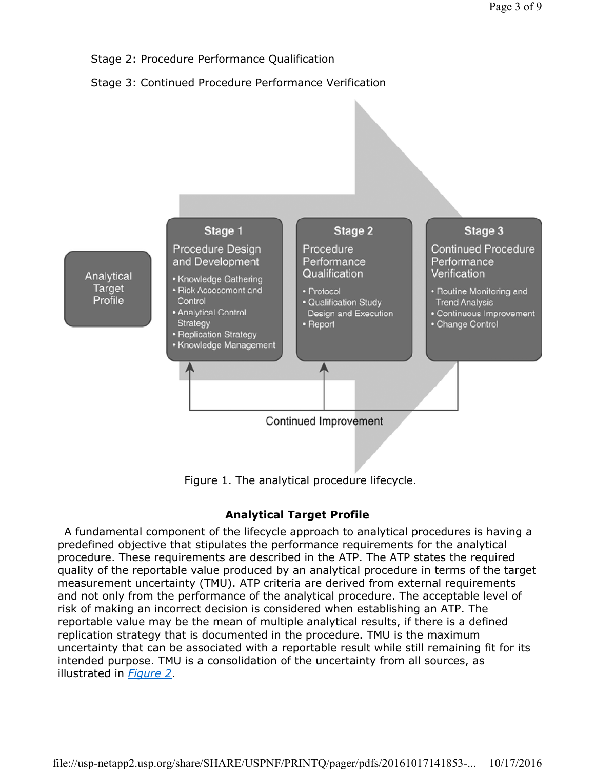

Figure 1. The analytical procedure lifecycle.

## **Analytical Target Profile**

A fundamental component of the lifecycle approach to analytical procedures is having a predefined objective that stipulates the performance requirements for the analytical procedure. These requirements are described in the ATP. The ATP states the required quality of the reportable value produced by an analytical procedure in terms of the target measurement uncertainty (TMU). ATP criteria are derived from external requirements and not only from the performance of the analytical procedure. The acceptable level of risk of making an incorrect decision is considered when establishing an ATP. The reportable value may be the mean of multiple analytical results, if there is a defined replication strategy that is documented in the procedure. TMU is the maximum uncertainty that can be associated with a reportable result while still remaining fit for its intended purpose. TMU is a consolidation of the uncertainty from all sources, as illustrated in *Figure 2*.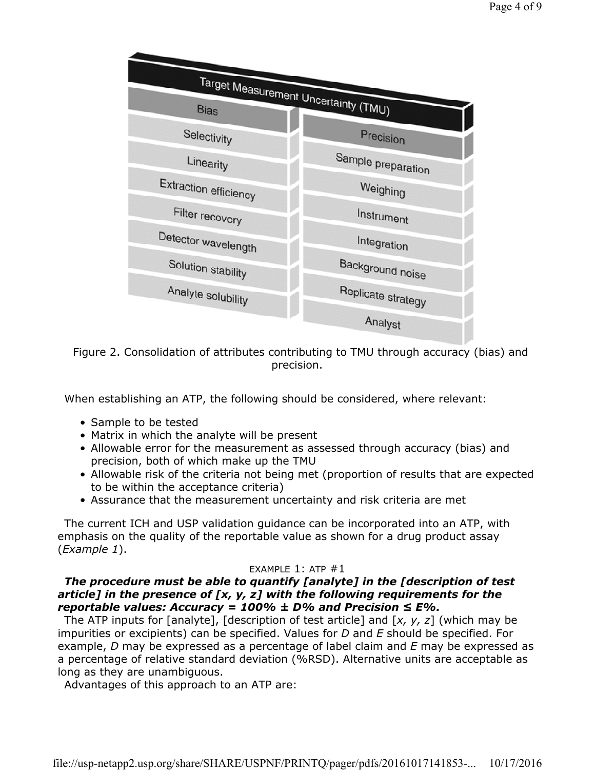

Figure 2. Consolidation of attributes contributing to TMU through accuracy (bias) and precision.

When establishing an ATP, the following should be considered, where relevant:

- Sample to be tested
- Matrix in which the analyte will be present
- Allowable error for the measurement as assessed through accuracy (bias) and precision, both of which make up the TMU
- Allowable risk of the criteria not being met (proportion of results that are expected to be within the acceptance criteria)
- Assurance that the measurement uncertainty and risk criteria are met

The current ICH and USP validation guidance can be incorporated into an ATP, with emphasis on the quality of the reportable value as shown for a drug product assay (*Example 1*).

## EXAMPLE  $1:$  ATP  $#1$

## *The procedure must be able to quantify [analyte] in the [description of test article] in the presence of [x, y, z] with the following requirements for the reportable values: Accuracy = 100% ± D% and Precision ≤ E%.*

The ATP inputs for [analyte], [description of test article] and [*x, y, z*] (which may be impurities or excipients) can be specified. Values for *D* and *E* should be specified. For example, *D* may be expressed as a percentage of label claim and *E* may be expressed as a percentage of relative standard deviation (%RSD). Alternative units are acceptable as long as they are unambiguous.

Advantages of this approach to an ATP are: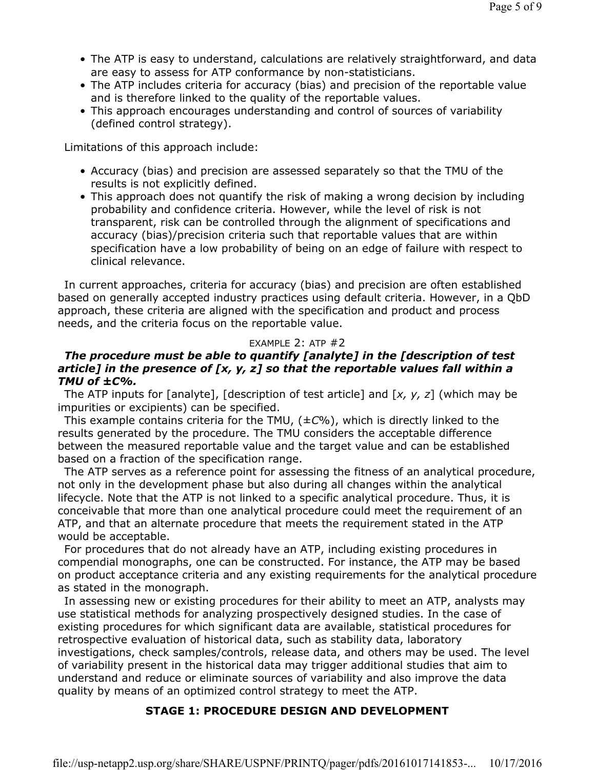- The ATP is easy to understand, calculations are relatively straightforward, and data are easy to assess for ATP conformance by non-statisticians.
- The ATP includes criteria for accuracy (bias) and precision of the reportable value and is therefore linked to the quality of the reportable values.
- This approach encourages understanding and control of sources of variability (defined control strategy).

Limitations of this approach include:

- Accuracy (bias) and precision are assessed separately so that the TMU of the results is not explicitly defined.
- This approach does not quantify the risk of making a wrong decision by including probability and confidence criteria. However, while the level of risk is not transparent, risk can be controlled through the alignment of specifications and accuracy (bias)/precision criteria such that reportable values that are within specification have a low probability of being on an edge of failure with respect to clinical relevance.

In current approaches, criteria for accuracy (bias) and precision are often established based on generally accepted industry practices using default criteria. However, in a QbD approach, these criteria are aligned with the specification and product and process needs, and the criteria focus on the reportable value.

#### EXAMPLE 2: ATP #2

## *The procedure must be able to quantify [analyte] in the [description of test article] in the presence of [x, y, z] so that the reportable values fall within a TMU of ±C%.*

The ATP inputs for [analyte], [description of test article] and [*x, y, z*] (which may be impurities or excipients) can be specified.

This example contains criteria for the TMU, (±*C*%), which is directly linked to the results generated by the procedure. The TMU considers the acceptable difference between the measured reportable value and the target value and can be established based on a fraction of the specification range.

The ATP serves as a reference point for assessing the fitness of an analytical procedure, not only in the development phase but also during all changes within the analytical lifecycle. Note that the ATP is not linked to a specific analytical procedure. Thus, it is conceivable that more than one analytical procedure could meet the requirement of an ATP, and that an alternate procedure that meets the requirement stated in the ATP would be acceptable.

For procedures that do not already have an ATP, including existing procedures in compendial monographs, one can be constructed. For instance, the ATP may be based on product acceptance criteria and any existing requirements for the analytical procedure as stated in the monograph.

In assessing new or existing procedures for their ability to meet an ATP, analysts may use statistical methods for analyzing prospectively designed studies. In the case of existing procedures for which significant data are available, statistical procedures for retrospective evaluation of historical data, such as stability data, laboratory investigations, check samples/controls, release data, and others may be used. The level of variability present in the historical data may trigger additional studies that aim to understand and reduce or eliminate sources of variability and also improve the data quality by means of an optimized control strategy to meet the ATP.

#### **STAGE 1: PROCEDURE DESIGN AND DEVELOPMENT**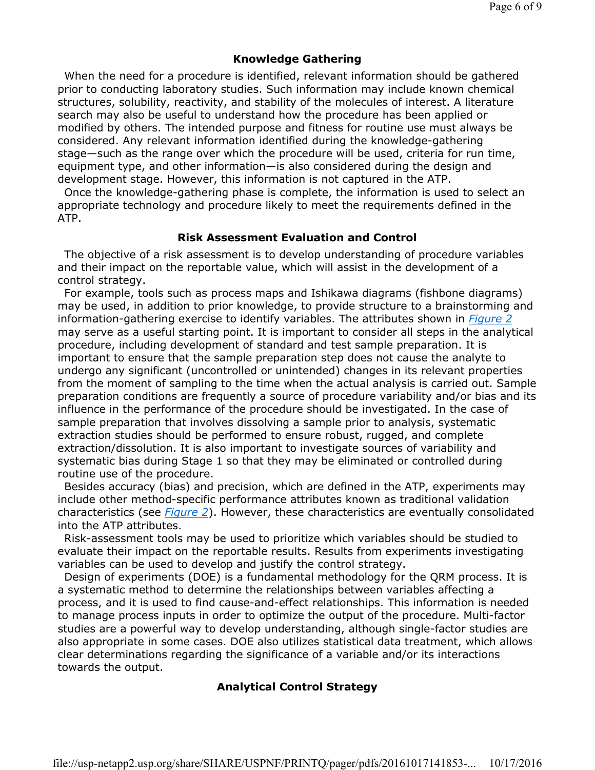## **Knowledge Gathering**

When the need for a procedure is identified, relevant information should be gathered prior to conducting laboratory studies. Such information may include known chemical structures, solubility, reactivity, and stability of the molecules of interest. A literature search may also be useful to understand how the procedure has been applied or modified by others. The intended purpose and fitness for routine use must always be considered. Any relevant information identified during the knowledge-gathering stage—such as the range over which the procedure will be used, criteria for run time, equipment type, and other information—is also considered during the design and development stage. However, this information is not captured in the ATP.

Once the knowledge-gathering phase is complete, the information is used to select an appropriate technology and procedure likely to meet the requirements defined in the ATP.

#### **Risk Assessment Evaluation and Control**

The objective of a risk assessment is to develop understanding of procedure variables and their impact on the reportable value, which will assist in the development of a control strategy.

For example, tools such as process maps and Ishikawa diagrams (fishbone diagrams) may be used, in addition to prior knowledge, to provide structure to a brainstorming and information-gathering exercise to identify variables. The attributes shown in *Figure 2* may serve as a useful starting point. It is important to consider all steps in the analytical procedure, including development of standard and test sample preparation. It is important to ensure that the sample preparation step does not cause the analyte to undergo any significant (uncontrolled or unintended) changes in its relevant properties from the moment of sampling to the time when the actual analysis is carried out. Sample preparation conditions are frequently a source of procedure variability and/or bias and its influence in the performance of the procedure should be investigated. In the case of sample preparation that involves dissolving a sample prior to analysis, systematic extraction studies should be performed to ensure robust, rugged, and complete extraction/dissolution. It is also important to investigate sources of variability and systematic bias during Stage 1 so that they may be eliminated or controlled during routine use of the procedure.

Besides accuracy (bias) and precision, which are defined in the ATP, experiments may include other method-specific performance attributes known as traditional validation characteristics (see *Figure 2*). However, these characteristics are eventually consolidated into the ATP attributes.

Risk-assessment tools may be used to prioritize which variables should be studied to evaluate their impact on the reportable results. Results from experiments investigating variables can be used to develop and justify the control strategy.

Design of experiments (DOE) is a fundamental methodology for the QRM process. It is a systematic method to determine the relationships between variables affecting a process, and it is used to find cause-and-effect relationships. This information is needed to manage process inputs in order to optimize the output of the procedure. Multi-factor studies are a powerful way to develop understanding, although single-factor studies are also appropriate in some cases. DOE also utilizes statistical data treatment, which allows clear determinations regarding the significance of a variable and/or its interactions towards the output.

## **Analytical Control Strategy**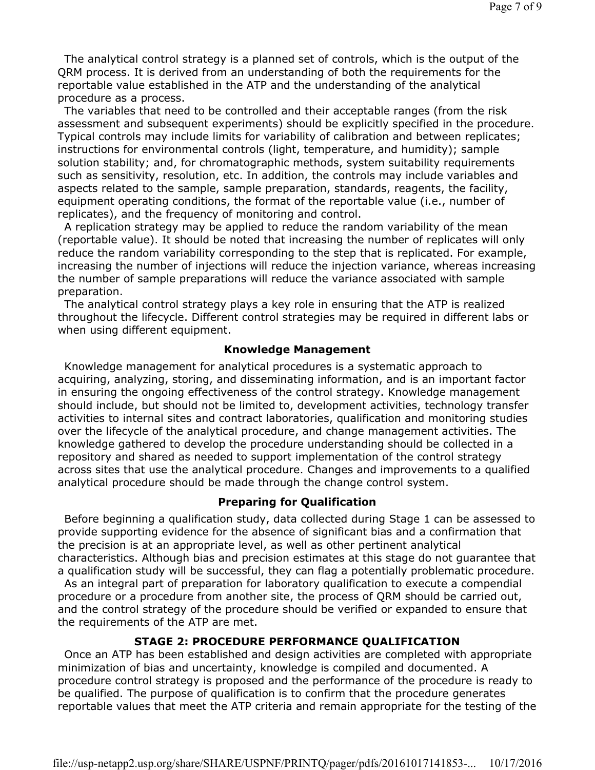The analytical control strategy is a planned set of controls, which is the output of the QRM process. It is derived from an understanding of both the requirements for the reportable value established in the ATP and the understanding of the analytical procedure as a process.

The variables that need to be controlled and their acceptable ranges (from the risk assessment and subsequent experiments) should be explicitly specified in the procedure. Typical controls may include limits for variability of calibration and between replicates; instructions for environmental controls (light, temperature, and humidity); sample solution stability; and, for chromatographic methods, system suitability requirements such as sensitivity, resolution, etc. In addition, the controls may include variables and aspects related to the sample, sample preparation, standards, reagents, the facility, equipment operating conditions, the format of the reportable value (i.e., number of replicates), and the frequency of monitoring and control.

A replication strategy may be applied to reduce the random variability of the mean (reportable value). It should be noted that increasing the number of replicates will only reduce the random variability corresponding to the step that is replicated. For example, increasing the number of injections will reduce the injection variance, whereas increasing the number of sample preparations will reduce the variance associated with sample preparation.

The analytical control strategy plays a key role in ensuring that the ATP is realized throughout the lifecycle. Different control strategies may be required in different labs or when using different equipment.

#### **Knowledge Management**

Knowledge management for analytical procedures is a systematic approach to acquiring, analyzing, storing, and disseminating information, and is an important factor in ensuring the ongoing effectiveness of the control strategy. Knowledge management should include, but should not be limited to, development activities, technology transfer activities to internal sites and contract laboratories, qualification and monitoring studies over the lifecycle of the analytical procedure, and change management activities. The knowledge gathered to develop the procedure understanding should be collected in a repository and shared as needed to support implementation of the control strategy across sites that use the analytical procedure. Changes and improvements to a qualified analytical procedure should be made through the change control system.

### **Preparing for Qualification**

Before beginning a qualification study, data collected during Stage 1 can be assessed to provide supporting evidence for the absence of significant bias and a confirmation that the precision is at an appropriate level, as well as other pertinent analytical characteristics. Although bias and precision estimates at this stage do not guarantee that a qualification study will be successful, they can flag a potentially problematic procedure.

As an integral part of preparation for laboratory qualification to execute a compendial procedure or a procedure from another site, the process of QRM should be carried out, and the control strategy of the procedure should be verified or expanded to ensure that the requirements of the ATP are met.

#### **STAGE 2: PROCEDURE PERFORMANCE QUALIFICATION**

Once an ATP has been established and design activities are completed with appropriate minimization of bias and uncertainty, knowledge is compiled and documented. A procedure control strategy is proposed and the performance of the procedure is ready to be qualified. The purpose of qualification is to confirm that the procedure generates reportable values that meet the ATP criteria and remain appropriate for the testing of the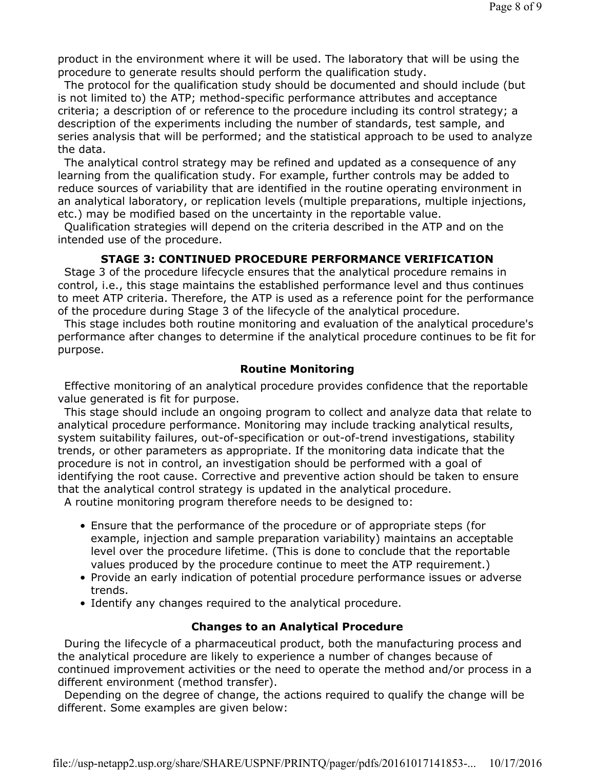product in the environment where it will be used. The laboratory that will be using the procedure to generate results should perform the qualification study.

The protocol for the qualification study should be documented and should include (but is not limited to) the ATP; method-specific performance attributes and acceptance criteria; a description of or reference to the procedure including its control strategy; a description of the experiments including the number of standards, test sample, and series analysis that will be performed; and the statistical approach to be used to analyze the data.

The analytical control strategy may be refined and updated as a consequence of any learning from the qualification study. For example, further controls may be added to reduce sources of variability that are identified in the routine operating environment in an analytical laboratory, or replication levels (multiple preparations, multiple injections, etc.) may be modified based on the uncertainty in the reportable value.

Qualification strategies will depend on the criteria described in the ATP and on the intended use of the procedure.

## **STAGE 3: CONTINUED PROCEDURE PERFORMANCE VERIFICATION**

Stage 3 of the procedure lifecycle ensures that the analytical procedure remains in control, i.e., this stage maintains the established performance level and thus continues to meet ATP criteria. Therefore, the ATP is used as a reference point for the performance of the procedure during Stage 3 of the lifecycle of the analytical procedure.

This stage includes both routine monitoring and evaluation of the analytical procedure's performance after changes to determine if the analytical procedure continues to be fit for purpose.

#### **Routine Monitoring**

Effective monitoring of an analytical procedure provides confidence that the reportable value generated is fit for purpose.

This stage should include an ongoing program to collect and analyze data that relate to analytical procedure performance. Monitoring may include tracking analytical results, system suitability failures, out-of-specification or out-of-trend investigations, stability trends, or other parameters as appropriate. If the monitoring data indicate that the procedure is not in control, an investigation should be performed with a goal of identifying the root cause. Corrective and preventive action should be taken to ensure that the analytical control strategy is updated in the analytical procedure.

A routine monitoring program therefore needs to be designed to:

- Ensure that the performance of the procedure or of appropriate steps (for example, injection and sample preparation variability) maintains an acceptable level over the procedure lifetime. (This is done to conclude that the reportable values produced by the procedure continue to meet the ATP requirement.)
- Provide an early indication of potential procedure performance issues or adverse trends.
- Identify any changes required to the analytical procedure.

#### **Changes to an Analytical Procedure**

During the lifecycle of a pharmaceutical product, both the manufacturing process and the analytical procedure are likely to experience a number of changes because of continued improvement activities or the need to operate the method and/or process in a different environment (method transfer).

Depending on the degree of change, the actions required to qualify the change will be different. Some examples are given below: